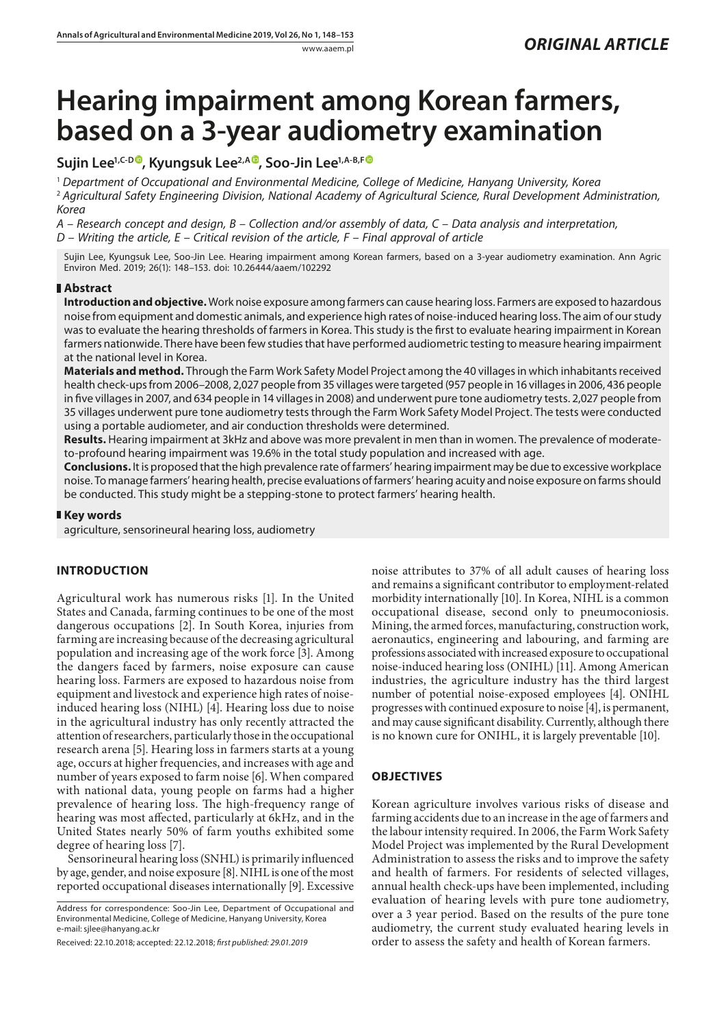# **Hearing impairment among Korean farmers, based on a 3-year audiometry examination**

## Sujin Lee<sup>1[,](https://orcid.org/0000-0002-7735-358X)C-D®</sup>, Kyungsuk Lee<sup>2,A®</sup>, Soo-Jin Lee<sup>1,A-B,F®</sup>

<sup>1</sup> *Department of Occupational and Environmental Medicine, College of Medicine, Hanyang University, Korea* <sup>2</sup> *Agricultural Safety Engineering Division, National Academy of Agricultural Science, Rural Development Administration, Korea*

*A – Research concept and design, B – Collection and/or assembly of data, C – Data analysis and interpretation, D – Writing the article, E – Critical revision of the article, F – Final approval of article*

Sujin Lee, Kyungsuk Lee, Soo-Jin Lee. Hearing impairment among Korean farmers, based on a 3-year audiometry examination. Ann Agric Environ Med. 2019; 26(1): 148–153. doi: 10.26444/aaem/102292

## **Abstract**

**Introduction and objective.** Work noise exposure among farmers can cause hearing loss. Farmers are exposed to hazardous noise from equipment and domestic animals, and experience high rates of noise-induced hearing loss. The aim of our study was to evaluate the hearing thresholds of farmers in Korea. This study is the first to evaluate hearing impairment in Korean farmers nationwide. There have been few studies that have performed audiometric testing to measure hearing impairment at the national level in Korea.

**Materials and method.** Through the Farm Work Safety Model Project among the 40 villages in which inhabitants received health check-ups from 2006–2008, 2,027 people from 35 villages were targeted (957 people in 16 villages in 2006, 436 people in five villages in 2007, and 634 people in 14 villages in 2008) and underwent pure tone audiometry tests. 2,027 people from 35 villages underwent pure tone audiometry tests through the Farm Work Safety Model Project. The tests were conducted using a portable audiometer, and air conduction thresholds were determined.

**Results.** Hearing impairment at 3kHz and above was more prevalent in men than in women. The prevalence of moderateto-profound hearing impairment was 19.6% in the total study population and increased with age.

**Conclusions.** It is proposed that the high prevalence rate of farmers' hearing impairment may be due to excessive workplace noise. To manage farmers' hearing health, precise evaluations of farmers' hearing acuity and noise exposure on farms should be conducted. This study might be a stepping-stone to protect farmers' hearing health.

#### **Key words**

agriculture, sensorineural hearing loss, audiometry

## **INTRODUCTION**

Agricultural work has numerous risks [1]. In the United States and Canada, farming continues to be one of the most dangerous occupations [2]. In South Korea, injuries from farming are increasing because of the decreasing agricultural population and increasing age of the work force [3]. Among the dangers faced by farmers, noise exposure can cause hearing loss. Farmers are exposed to hazardous noise from equipment and livestock and experience high rates of noiseinduced hearing loss (NIHL) [4]. Hearing loss due to noise in the agricultural industry has only recently attracted the attention of researchers, particularly those in the occupational research arena [5]. Hearing loss in farmers starts at a young age, occurs at higher frequencies, and increases with age and number of years exposed to farm noise [6]. When compared with national data, young people on farms had a higher prevalence of hearing loss. The high-frequency range of hearing was most affected, particularly at 6kHz, and in the United States nearly 50% of farm youths exhibited some degree of hearing loss [7].

Sensorineural hearing loss (SNHL) is primarily influenced by age, gender, and noise exposure [8]. NIHL is one of the most reported occupational diseases internationally [9]. Excessive noise attributes to 37% of all adult causes of hearing loss and remains a significant contributor to employment-related morbidity internationally [10]. In Korea, NIHL is a common occupational disease, second only to pneumoconiosis. Mining, the armed forces, manufacturing, construction work, aeronautics, engineering and labouring, and farming are professions associated with increased exposure to occupational noise-induced hearing loss (ONIHL) [11]. Among American industries, the agriculture industry has the third largest number of potential noise-exposed employees [4]. ONIHL progresses with continued exposure to noise [4], is permanent, and may cause significant disability. Currently, although there is no known cure for ONIHL, it is largely preventable [10].

## **OBJECTIVES**

Korean agriculture involves various risks of disease and farming accidents due to an increase in the age of farmers and the labour intensity required. In 2006, the Farm Work Safety Model Project was implemented by the Rural Development Administration to assess the risks and to improve the safety and health of farmers. For residents of selected villages, annual health check-ups have been implemented, including evaluation of hearing levels with pure tone audiometry, over a 3 year period. Based on the results of the pure tone audiometry, the current study evaluated hearing levels in order to assess the safety and health of Korean farmers.

Address for correspondence: Soo-Jin Lee, Department of Occupational and Environmental Medicine, College of Medicine, Hanyang University, Korea e-mail: sjlee@hanyang.ac.kr

Received: 22.10.2018; accepted: 22.12.2018; *first published: 29.01.2019*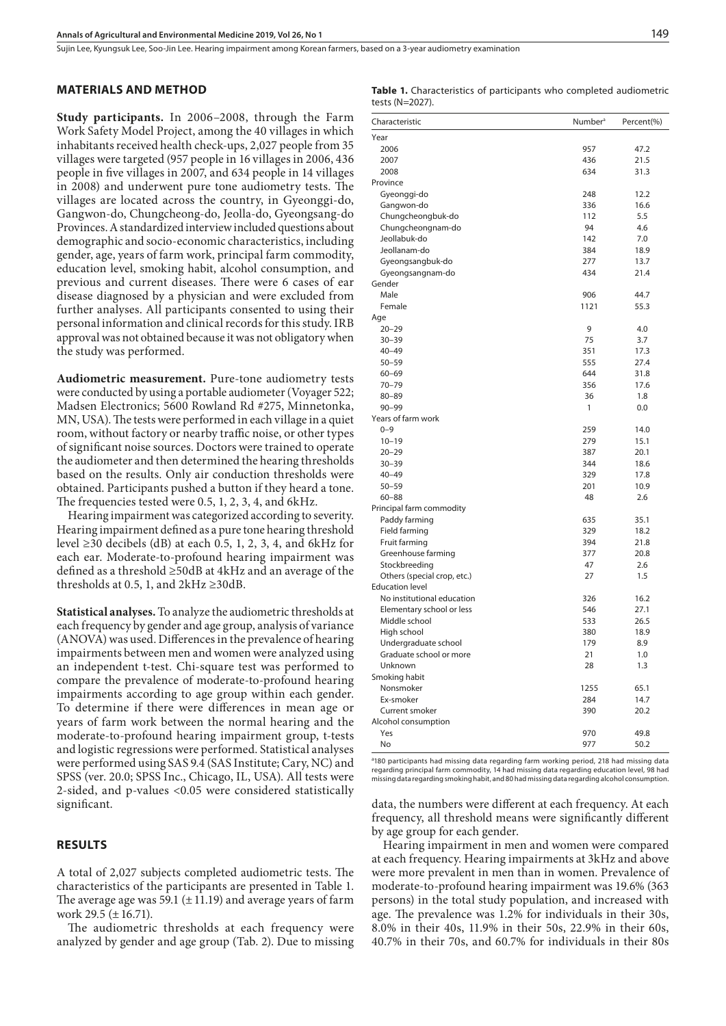Sujin Lee, Kyungsuk Lee, Soo-Jin Lee . Hearing impairment among Korean farmers, based on a 3-year audiometry examination

#### **MATERIALS AND METHOD**

**Study participants.** In 2006–2008, through the Farm Work Safety Model Project, among the 40 villages in which inhabitants received health check-ups, 2,027 people from 35 villages were targeted (957 people in 16 villages in 2006, 436 people in five villages in 2007, and 634 people in 14 villages in 2008) and underwent pure tone audiometry tests. The villages are located across the country, in [Gyeonggi-do](http://endic.naver.com/search.nhn?query=gyeonggi-do), [Gangwon-do,](http://endic.naver.com/search.nhn?query=gangwon-do) Chungcheong-do, Jeolla-do, Gyeongsang-do Provinces. A standardized interview included questions about demographic and socio-economic characteristics, including gender, age, years of farm work, principal farm commodity, education level, smoking habit, alcohol consumption, and previous and current diseases. There were 6 cases of ear disease diagnosed by a physician and were excluded from further analyses. All participants consented to using their personal information and clinical records for this study. IRB approval was not obtained because it was not obligatory when the study was performed.

**Audiometric measurement.** Pure-tone audiometry tests were conducted by using a portable audiometer (Voyager 522; Madsen Electronics; 5600 Rowland Rd #275, Minnetonka, MN, USA). The tests were performed in each village in a quiet room, without factory or nearby traffic noise, or other types of significant noise sources. Doctors were trained to operate the audiometer and then determined the hearing thresholds based on the results. Only air conduction thresholds were obtained. Participants pushed a button if they heard a tone. The frequencies tested were 0.5, 1, 2, 3, 4, and 6kHz.

Hearing impairment was categorized according to severity. Hearing impairment defined as a pure tone hearing threshold level  $\geq$ 30 decibels (dB) at each 0.5, 1, 2, 3, 4, and 6kHz for each ear. Moderate-to-profound hearing impairment was defined as a threshold ≥50dB at 4kHz and an average of the thresholds at 0.5, 1, and  $2kHz \geq 30dB$ .

**Statistical analyses.** To analyze the audiometric thresholds at each frequency by gender and age group, analysis of variance (ANOVA) was used. Differences in the prevalence of hearing impairments between men and women were analyzed using an independent t-test. Chi-square test was performed to compare the prevalence of moderate-to-profound hearing impairments according to age group within each gender. To determine if there were differences in mean age or years of farm work between the normal hearing and the moderate-to-profound hearing impairment group, t-tests and logistic regressions were performed. Statistical analyses were performed using SAS 9.4 (SAS Institute; Cary, NC) and SPSS (ver. 20.0; SPSS Inc., Chicago, IL, USA). All tests were 2-sided, and p-values <0.05 were considered statistically significant.

### **RESULTS**

A total of 2,027 subjects completed audiometric tests. The characteristics of the participants are presented in Table 1. The average age was 59.1 ( $\pm$  11.19) and average years of farm work 29.5 ( $\pm$  16.71).

The audiometric thresholds at each frequency were analyzed by gender and age group (Tab. 2). Due to missing

| <b>Table 1.</b> Characteristics of participants who completed audiometric |  |  |
|---------------------------------------------------------------------------|--|--|
| tests (N=2027).                                                           |  |  |

| Characteristic              | Number <sup>a</sup> | Percent(%) |
|-----------------------------|---------------------|------------|
| Year                        |                     |            |
| 2006                        | 957                 | 47.2       |
| 2007                        | 436                 | 21.5       |
| 2008                        | 634                 | 31.3       |
| Province                    |                     |            |
| Gyeonggi-do                 | 248                 | 12.2       |
| Gangwon-do                  | 336                 | 16.6       |
| Chungcheongbuk-do           | 112                 | 5.5        |
| Chungcheongnam-do           | 94                  | 4.6        |
| Jeollabuk-do                | 142                 | 7.0        |
| Jeollanam-do                | 384                 | 18.9       |
| Gyeongsangbuk-do            | 277                 | 13.7       |
| Gyeongsangnam-do            | 434                 | 21.4       |
| Gender                      |                     |            |
| Male                        | 906                 | 44.7       |
| Female                      | 1121                | 55.3       |
| Age                         |                     |            |
| $20 - 29$                   | 9                   | 4.0        |
| $30 - 39$                   | 75                  | 3.7        |
| $40 - 49$                   | 351                 | 17.3       |
| $50 - 59$                   | 555                 | 27.4       |
| $60 - 69$                   | 644                 | 31.8       |
| $70 - 79$                   | 356                 | 17.6       |
| $80 - 89$                   | 36                  | 1.8        |
| $90 - 99$                   | 1                   | 0.0        |
| Years of farm work          |                     |            |
| $0 - 9$                     | 259                 | 14.0       |
| $10 - 19$                   | 279                 | 15.1       |
| $20 - 29$                   | 387                 | 20.1       |
| $30 - 39$                   | 344                 | 18.6       |
| $40 - 49$                   | 329                 | 17.8       |
| $50 - 59$                   | 201                 | 10.9       |
| $60 - 88$                   | 48                  | 2.6        |
| Principal farm commodity    |                     |            |
| Paddy farming               | 635                 | 35.1       |
| Field farming               | 329                 | 18.2       |
| Fruit farming               | 394                 | 21.8       |
| Greenhouse farming          | 377                 | 20.8       |
| Stockbreeding               | 47                  | 2.6        |
| Others (special crop, etc.) | 27                  | 1.5        |
| <b>Education level</b>      |                     |            |
| No institutional education  | 326                 | 16.2       |
| Elementary school or less   | 546                 | 27.1       |
| Middle school               | 533                 | 26.5       |
| High school                 | 380                 | 18.9       |
| Undergraduate school        | 179                 | 8.9        |
| Graduate school or more     | 21                  | 1.0        |
| Unknown                     | 28                  | 1.3        |
| Smoking habit               |                     |            |
| Nonsmoker                   | 1255                | 65.1       |
| Ex-smoker                   | 284                 | 14.7       |
| Current smoker              | 390                 | 20.2       |
| Alcohol consumption         |                     |            |
| Yes                         | 970                 | 49.8       |
| No                          | 977                 | 50.2       |

<sup>a</sup>180 participants had missing data regarding farm working period, 218 had missing data regarding principal farm commodity, 14 had missing data regarding education level, 98 had missing data regarding smoking habit, and 80 had missing data regarding alcohol consumption.

data, the numbers were different at each frequency. At each frequency, all threshold means were significantly different by age group for each gender.

Hearing impairment in men and women were compared at each frequency. Hearing impairments at 3kHz and above were more prevalent in men than in women. Prevalence of moderate-to-profound hearing impairment was 19.6% (363 persons) in the total study population, and increased with age. The prevalence was 1.2% for individuals in their 30s, 8.0% in their 40s, 11.9% in their 50s, 22.9% in their 60s, 40.7% in their 70s, and 60.7% for individuals in their 80s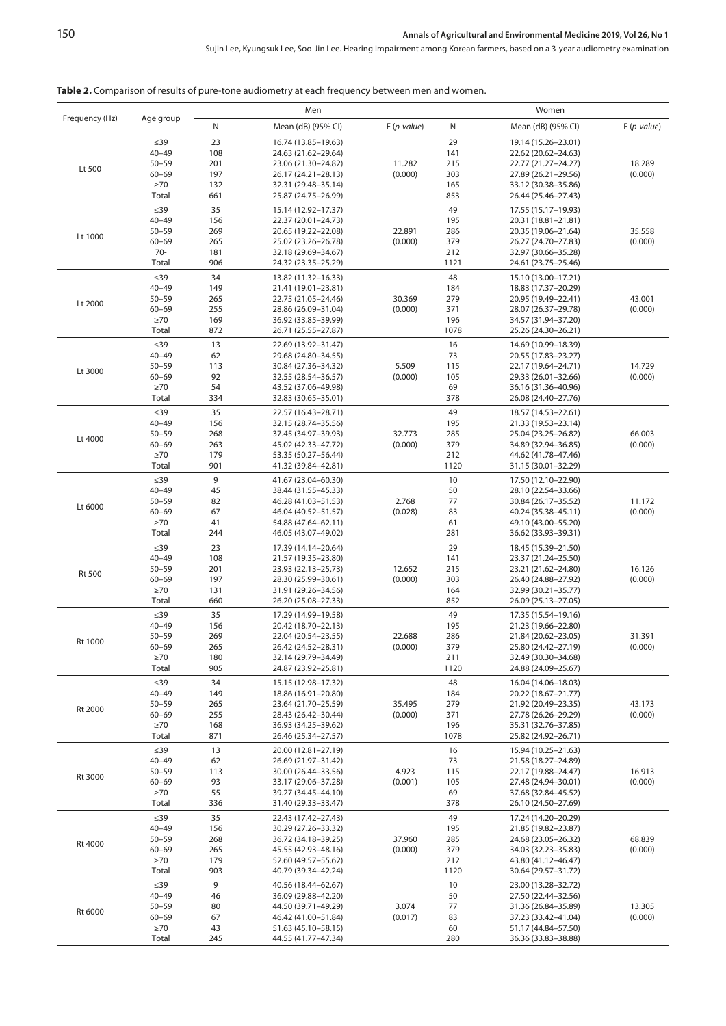Sujin Lee, Kyungsuk Lee, Soo-Jin Lee . Hearing impairment among Korean farmers, based on a 3-year audiometry examination

**Table 2.** Comparison of results of pure-tone audiometry at each frequency between men and women.

|                |                        |            | Men                                          |                   |            | Women                                      |                   |  |
|----------------|------------------------|------------|----------------------------------------------|-------------------|------------|--------------------------------------------|-------------------|--|
| Frequency (Hz) | Age group              | N          | Mean (dB) (95% CI)                           | $F(p-value)$      | N          | Mean (dB) (95% CI)                         | $F(p-value)$      |  |
| Lt 500         | $\leq$ 39              | 23         | 16.74 (13.85-19.63)                          |                   | 29         | 19.14 (15.26-23.01)                        |                   |  |
|                | $40 - 49$              | 108        | 24.63 (21.62-29.64)                          |                   | 141        | 22.62 (20.62-24.63)                        |                   |  |
|                | $50 - 59$              | 201        | 23.06 (21.30-24.82)                          | 11.282            | 215        | 22.77 (21.27–24.27)                        | 18.289            |  |
|                | $60 - 69$<br>$\geq 70$ | 197<br>132 | 26.17 (24.21-28.13)<br>32.31 (29.48-35.14)   | (0.000)           | 303<br>165 | 27.89 (26.21-29.56)<br>33.12 (30.38-35.86) | (0.000)           |  |
|                | Total                  | 661        | 25.87 (24.75-26.99)                          |                   | 853        | 26.44 (25.46-27.43)                        |                   |  |
|                |                        |            |                                              |                   |            |                                            |                   |  |
|                | $\leq$ 39<br>$40 - 49$ | 35<br>156  | 15.14 (12.92-17.37)<br>22.37 (20.01-24.73)   |                   | 49<br>195  | 17.55 (15.17-19.93)<br>20.31 (18.81-21.81) |                   |  |
|                | $50 - 59$              | 269        | 20.65 (19.22-22.08)                          | 22.891            | 286        | 20.35 (19.06-21.64)                        | 35.558            |  |
| Lt 1000        | $60 - 69$              | 265        | 25.02 (23.26-26.78)                          | (0.000)           | 379        | 26.27 (24.70-27.83)                        | (0.000)           |  |
|                | $70-$                  | 181        | 32.18 (29.69-34.67)                          |                   | 212        | 32.97 (30.66-35.28)                        |                   |  |
|                | Total                  | 906        | 24.32 (23.35–25.29)                          |                   | 1121       | 24.61 (23.75 - 25.46)                      |                   |  |
|                | $\leq$ 39              | 34         | 13.82 (11.32-16.33)                          |                   | 48         | 15.10 (13.00-17.21)                        |                   |  |
|                | $40 - 49$              | 149        | 21.41 (19.01-23.81)                          |                   | 184        | 18.83 (17.37-20.29)                        |                   |  |
| Lt 2000        | $50 - 59$<br>$60 - 69$ | 265<br>255 | 22.75 (21.05-24.46)                          | 30.369<br>(0.000) | 279<br>371 | 20.95 (19.49–22.41)                        | 43.001<br>(0.000) |  |
|                | $\geq 70$              | 169        | 28.86 (26.09-31.04)<br>36.92 (33.85-39.99)   |                   | 196        | 28.07 (26.37-29.78)<br>34.57 (31.94-37.20) |                   |  |
|                | Total                  | 872        | 26.71 (25.55-27.87)                          |                   | 1078       | 25.26 (24.30-26.21)                        |                   |  |
|                | $\leq$ 39              | 13         | 22.69 (13.92-31.47)                          |                   | 16         | 14.69 (10.99-18.39)                        |                   |  |
|                | $40 - 49$              | 62         | 29.68 (24.80-34.55)                          |                   | 73         | 20.55 (17.83-23.27)                        |                   |  |
| Lt 3000        | $50 - 59$              | 113        | 30.84 (27.36-34.32)                          | 5.509             | 115        | 22.17 (19.64–24.71)                        | 14.729            |  |
|                | $60 - 69$              | 92         | 32.55 (28.54 - 36.57)                        | (0.000)           | 105        | 29.33 (26.01-32.66)                        | (0.000)           |  |
|                | $\geq 70$<br>Total     | 54<br>334  | 43.52 (37.06-49.98)                          |                   | 69<br>378  | 36.16 (31.36-40.96)                        |                   |  |
|                |                        | 35         | 32.83 (30.65-35.01)                          |                   | 49         | 26.08 (24.40-27.76)                        |                   |  |
|                | $\leq$ 39<br>$40 - 49$ | 156        | 22.57 (16.43-28.71)<br>32.15 (28.74-35.56)   |                   | 195        | 18.57 (14.53–22.61)<br>21.33 (19.53-23.14) |                   |  |
|                | $50 - 59$              | 268        | 37.45 (34.97-39.93)                          | 32.773            | 285        | 25.04 (23.25 - 26.82)                      | 66.003            |  |
| Lt 4000        | $60 - 69$              | 263        | 45.02 (42.33–47.72)                          | (0.000)           | 379        | 34.89 (32.94-36.85)                        | (0.000)           |  |
|                | $\geq 70$              | 179        | 53.35 (50.27-56.44)                          |                   | 212        | 44.62 (41.78-47.46)                        |                   |  |
|                | Total                  | 901        | 41.32 (39.84-42.81)                          |                   | 1120       | 31.15 (30.01-32.29)                        |                   |  |
|                | $\leq$ 39              | 9          | 41.67 (23.04–60.30)                          |                   | 10         | 17.50 (12.10-22.90)                        |                   |  |
|                | $40 - 49$              | 45         | 38.44 (31.55 - 45.33)                        |                   | 50         | 28.10 (22.54-33.66)                        |                   |  |
| Lt 6000        | $50 - 59$<br>$60 - 69$ | 82<br>67   | 46.28 (41.03-51.53)<br>46.04 (40.52 - 51.57) | 2.768<br>(0.028)  | 77<br>83   | 30.84 (26.17-35.52)<br>40.24 (35.38-45.11) | 11.172<br>(0.000) |  |
|                | $\geq 70$              | 41         | 54.88 (47.64–62.11)                          |                   | 61         | 49.10 (43.00 - 55.20)                      |                   |  |
|                | Total                  | 244        | 46.05 (43.07-49.02)                          |                   | 281        | 36.62 (33.93–39.31)                        |                   |  |
|                | $\leq$ 39              | 23         | 17.39 (14.14–20.64)                          |                   | 29         | 18.45 (15.39–21.50)                        |                   |  |
|                | $40 - 49$              | 108        | 21.57 (19.35 - 23.80)                        | 12.652            | 141        | 23.37 (21.24–25.50)                        |                   |  |
| <b>Rt 500</b>  | $50 - 59$              | 201        | 23.93 (22.13–25.73)                          |                   | 215        | 23.21 (21.62-24.80)                        | 16.126            |  |
|                | $60 - 69$              | 197        | 28.30 (25.99-30.61)                          | (0.000)           | 303        | 26.40 (24.88-27.92)                        | (0.000)           |  |
|                | $\geq 70$<br>Total     | 131<br>660 | 31.91 (29.26-34.56)<br>26.20 (25.08-27.33)   |                   | 164<br>852 | 32.99 (30.21-35.77)<br>26.09 (25.13-27.05) |                   |  |
|                | $\leq$ 39              | 35         | 17.29 (14.99-19.58)                          |                   | 49         | 17.35 (15.54-19.16)                        |                   |  |
|                | $40 - 49$              | 156        | 20.42 (18.70-22.13)                          |                   | 195        | 21.23 (19.66-22.80)                        |                   |  |
|                | $50 - 59$              | 269        | 22.04 (20.54-23.55)                          | 22.688            | 286        | 21.84 (20.62-23.05)                        | 31.391            |  |
| Rt 1000        | $60 - 69$              | 265        | 26.42 (24.52-28.31)                          | (0.000)           | 379        | 25.80 (24.42-27.19)                        | (0.000)           |  |
|                | ${\ge}70$              | 180        | 32.14 (29.79-34.49)                          |                   | 211        | 32.49 (30.30-34.68)                        |                   |  |
|                | Total                  | 905        | 24.87 (23.92-25.81)                          |                   | 1120       | 24.88 (24.09-25.67)                        |                   |  |
|                | $\leq$ 39              | 34         | 15.15 (12.98-17.32)                          |                   | 48         | 16.04 (14.06-18.03)                        |                   |  |
|                | $40 - 49$              | 149        | 18.86 (16.91-20.80)                          |                   | 184        | 20.22 (18.67-21.77)                        |                   |  |
| Rt 2000        | $50 - 59$<br>$60 - 69$ | 265<br>255 | 23.64 (21.70-25.59)<br>28.43 (26.42-30.44)   | 35.495<br>(0.000) | 279<br>371 | 21.92 (20.49-23.35)<br>27.78 (26.26-29.29) | 43.173<br>(0.000) |  |
|                | $\geq 70$              | 168        | 36.93 (34.25-39.62)                          |                   | 196        | 35.31 (32.76-37.85)                        |                   |  |
|                | Total                  | 871        | 26.46 (25.34-27.57)                          |                   | 1078       | 25.82 (24.92-26.71)                        |                   |  |
|                | $\leq$ 39              | 13         | 20.00 (12.81-27.19)                          |                   | 16         | 15.94 (10.25 - 21.63)                      |                   |  |
|                | $40 - 49$              | 62         | 26.69 (21.97-31.42)                          |                   | 73         | 21.58 (18.27-24.89)                        |                   |  |
| Rt 3000        | $50 - 59$              | 113        | 30.00 (26.44-33.56)                          | 4.923             | 115        | 22.17 (19.88-24.47)                        | 16.913            |  |
|                | $60 - 69$              | 93         | 33.17 (29.06-37.28)                          | (0.001)           | 105        | 27.48 (24.94-30.01)                        | (0.000)           |  |
|                | $\geq 70$<br>Total     | 55<br>336  | 39.27 (34.45-44.10)<br>31.40 (29.33-33.47)   |                   | 69<br>378  | 37.68 (32.84-45.52)<br>26.10 (24.50-27.69) |                   |  |
|                | $\leq$ 39              | 35         | 22.43 (17.42-27.43)                          |                   | 49         | 17.24 (14.20-20.29)                        |                   |  |
| Rt 4000        | $40 - 49$              | 156        | 30.29 (27.26-33.32)                          |                   | 195        | 21.85 (19.82-23.87)                        |                   |  |
|                | $50 - 59$              | 268        | 36.72 (34.18–39.25)                          | 37.960            | 285        | 24.68 (23.05 - 26.32)                      | 68.839            |  |
|                | $60 - 69$              | 265        | 45.55 (42.93-48.16)                          | (0.000)           | 379        | 34.03 (32.23-35.83)                        | (0.000)           |  |
|                | $\geq 70$              | 179        | 52.60 (49.57-55.62)                          |                   | 212        | 43.80 (41.12–46.47)                        |                   |  |
|                | Total                  | 903        | 40.79 (39.34-42.24)                          |                   | 1120       | 30.64 (29.57-31.72)                        |                   |  |
|                | $\leq$ 39              | 9          | 40.56 (18.44-62.67)                          |                   | 10         | 23.00 (13.28-32.72)                        |                   |  |
|                | $40 - 49$<br>$50 - 59$ | 46<br>80   | 36.09 (29.88-42.20)<br>44.50 (39.71-49.29)   | 3.074             | 50<br>77   | 27.50 (22.44-32.56)<br>31.36 (26.84-35.89) | 13.305            |  |
| Rt 6000        | $60 - 69$              | 67         | 46.42 (41.00-51.84)                          | (0.017)           | 83         | 37.23 (33.42-41.04)                        | (0.000)           |  |
|                | $\geq 70$              | 43         | 51.63 (45.10-58.15)                          |                   | 60         | 51.17 (44.84-57.50)                        |                   |  |
|                | Total                  | 245        | 44.55 (41.77-47.34)                          |                   | 280        | 36.36 (33.83–38.88)                        |                   |  |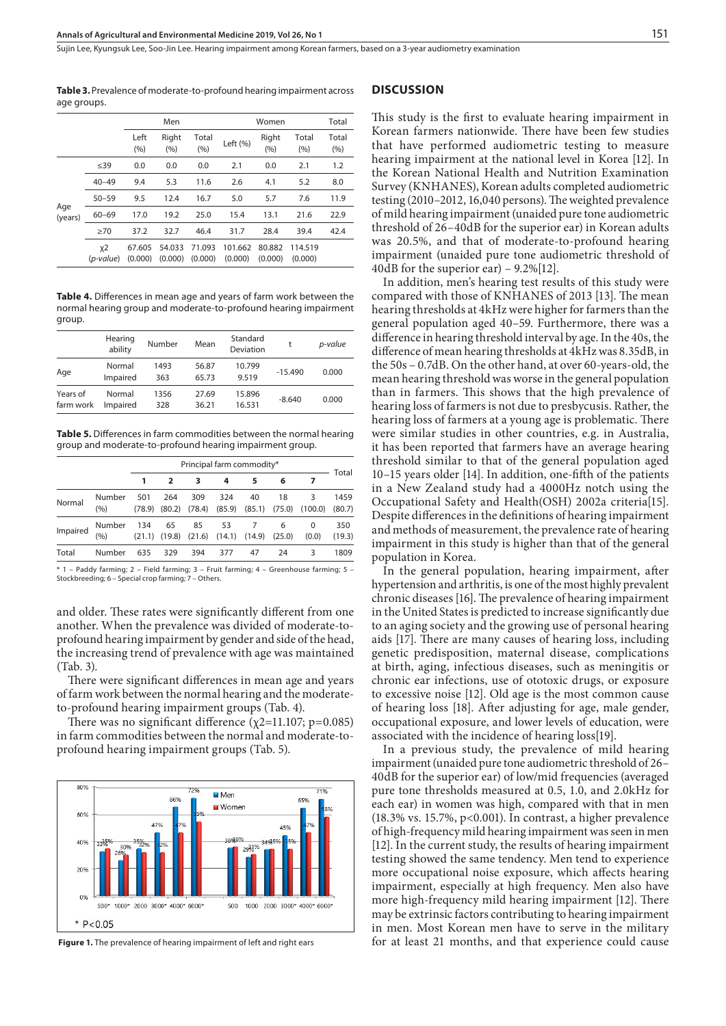**Table 3.** Prevalence of moderate-to-profound hearing impairment across age groups.

|                |                    | Men               |                   |                   |                    | Total             |                    |                |
|----------------|--------------------|-------------------|-------------------|-------------------|--------------------|-------------------|--------------------|----------------|
|                |                    | Left<br>(9/6)     | Right<br>(%)      | Total<br>(%)      | Left (%)           | Right<br>(%)      | Total<br>(9/6)     | Total<br>(9/6) |
| Age<br>(years) | $\leq$ 39          | 0.0               | 0.0               | 0.0               | 2.1                | 0.0               | 2.1                | 1.2            |
|                | $40 - 49$          | 9.4               | 5.3               | 11.6              | 2.6                | 4.1               | 5.2                | 8.0            |
|                | $50 - 59$          | 9.5               | 12.4              | 16.7              | 5.0                | 5.7               | 7.6                | 11.9           |
|                | $60 - 69$          | 17.0              | 19.2              | 25.0              | 15.4               | 13.1              | 21.6               | 22.9           |
|                | >70                | 37.2              | 32.7              | 46.4              | 31.7               | 28.4              | 39.4               | 42.4           |
|                | $x^2$<br>(p-value) | 67.605<br>(0.000) | 54.033<br>(0.000) | 71.093<br>(0.000) | 101.662<br>(0.000) | 80.882<br>(0.000) | 114.519<br>(0.000) |                |

**Table 4.** Differences in mean age and years of farm work between the normal hearing group and moderate-to-profound hearing impairment group.

|                       | Hearing<br>ability | Number      | Mean           | Standard<br>Deviation |           | p-value |
|-----------------------|--------------------|-------------|----------------|-----------------------|-----------|---------|
| Age                   | Normal<br>Impaired | 1493<br>363 | 56.87<br>65.73 | 10.799<br>9.519       | $-15.490$ | 0.000   |
| Years of<br>farm work | Normal<br>Impaired | 1356<br>328 | 27.69<br>36.21 | 15.896<br>16.531      | $-8.640$  | 0.000   |

**Table 5.** Differences in farm commodities between the normal hearing group and moderate-to-profound hearing impairment group.

|          |                 |               | Principal farm commodity* |               |                         |              |              |            |                |
|----------|-----------------|---------------|---------------------------|---------------|-------------------------|--------------|--------------|------------|----------------|
|          |                 |               |                           |               | 4                       | 5            | 6            |            | Total          |
| Normal   | Number<br>(%)   | 501<br>(78.9) | 264<br>(80.2)             | 309<br>(78.4) | 324<br>(85.9)           | 40<br>(85.1) | 18<br>(75.0) | (100.0)    | 1459<br>(80.7) |
| Impaired | Number<br>(9/0) | 134           | 65<br>$(21.1)$ $(19.8)$   | 85            | 53<br>$(21.6)$ $(14.1)$ | (14.9)       | 6<br>(25.0)  | 0<br>(0.0) | 350<br>(19.3)  |
| Total    | Number          | 635           | 329                       | 394           | 377                     | 47           | 24           | 3          | 1809           |

\* 1 – Paddy farming; 2 – Field farming; 3 – Fruit farming; 4 – Greenhouse farming; 5 – Stockbreeding; 6 – Special crop farming; 7 – Others.

and older. These rates were significantly different from one another. When the prevalence was divided of moderate-toprofound hearing impairment by gender and side of the head, the increasing trend of prevalence with age was maintained (Tab. 3).

There were significant differences in mean age and years of farm work between the normal hearing and the moderateto-profound hearing impairment groups (Tab. 4).

There was no significant difference ( $\chi$ 2=11.107; p=0.085) in farm commodities between the normal and moderate-toprofound hearing impairment groups (Tab. 5).



 **Figure 1.** The prevalence of hearing impairment of left and right ears

#### **DISCUSSION**

This study is the first to evaluate hearing impairment in Korean farmers nationwide. There have been few studies that have performed audiometric testing to measure hearing impairment at the national level in Korea [12]. In the Korean National Health and Nutrition Examination Survey (KNHANES), Korean adults completed audiometric testing (2010–2012, 16,040 persons). The weighted prevalence of mild hearing impairment (unaided pure tone audiometric threshold of 26–40dB for the superior ear) in Korean adults was 20.5%, and that of moderate-to-profound hearing impairment (unaided pure tone audiometric threshold of 40dB for the superior ear) – 9.2%[12].

In addition, men's hearing test results of this study were compared with those of KNHANES of 2013 [13]. The mean hearing thresholds at 4kHz were higher for farmers than the general population aged 40–59. Furthermore, there was a difference in hearing threshold interval by age. In the 40s, the difference of mean hearing thresholds at 4kHz was 8.35dB, in the 50s – 0.7dB. On the other hand, at over 60-years-old, the mean hearing threshold was worse in the general population than in farmers. This shows that the high prevalence of hearing loss of farmers is not due to presbycusis. Rather, the hearing loss of farmers at a young age is problematic. There were similar studies in other countries, e.g. in Australia, it has been reported that farmers have an average hearing threshold similar to that of the general population aged 10–15 years older [14]. In addition, one-fifth of the patients in a New Zealand study had a 4000Hz notch using the Occupational Safety and Health(OSH) 2002a criteria[15]. Despite differences in the definitions of hearing impairment and methods of measurement, the prevalence rate of hearing impairment in this study is higher than that of the general population in Korea.

In the general population, hearing impairment, after hypertension and arthritis, is one of the most highly prevalent chronic diseases [16]. The prevalence of hearing impairment in the United States is predicted to increase significantly due to an aging society and the growing use of personal hearing aids [17]. There are many causes of hearing loss, including genetic predisposition, maternal disease, complications at birth, aging, infectious diseases, such as meningitis or chronic ear infections, use of ototoxic drugs, or exposure to excessive noise [12]. Old age is the most common cause of hearing loss [18]. After adjusting for age, male gender, occupational exposure, and lower levels of education, were associated with the incidence of hearing loss[19].

In a previous study, the prevalence of mild hearing impairment (unaided pure tone audiometric threshold of 26– 40dB for the superior ear) of low/mid frequencies (averaged pure tone thresholds measured at 0.5, 1.0, and 2.0kHz for each ear) in women was high, compared with that in men (18.3% vs. 15.7%, p<0.001). In contrast, a higher prevalence of high-frequency mild hearing impairment was seen in men [12]. In the current study, the results of hearing impairment testing showed the same tendency. Men tend to experience more occupational noise exposure, which affects hearing impairment, especially at high frequency. Men also have more high-frequency mild hearing impairment [12]. There may be extrinsic factors contributing to hearing impairment in men. Most Korean men have to serve in the military for at least 21 months, and that experience could cause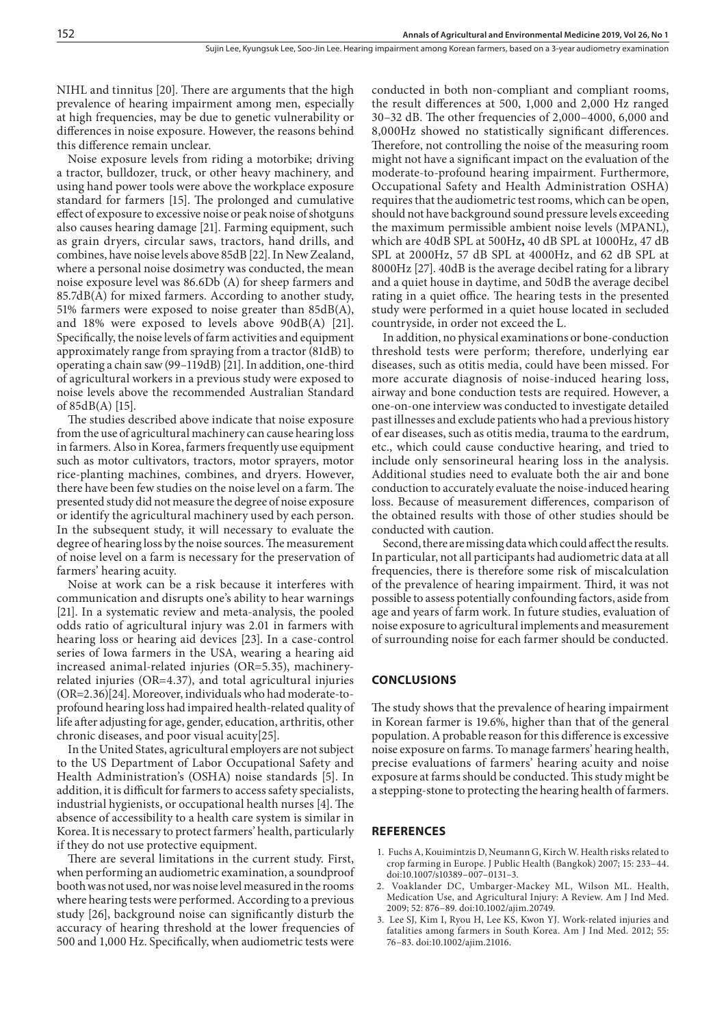NIHL and tinnitus [20]. There are arguments that the high prevalence of hearing impairment among men, especially at high frequencies, may be due to genetic vulnerability or differences in noise exposure. However, the reasons behind this difference remain unclear.

Noise exposure levels from riding a motorbike; driving a tractor, bulldozer, truck, or other heavy machinery, and using hand power tools were above the workplace exposure standard for farmers [15]. The prolonged and cumulative effect of exposure to excessive noise or peak noise of shotguns also causes hearing damage [21]. Farming equipment, such as grain dryers, circular saws, tractors, hand drills, and combines, have noise levels above 85dB [22]. In New Zealand, where a personal noise dosimetry was conducted, the mean noise exposure level was 86.6Db (A) for sheep farmers and 85.7dB(A) for mixed farmers. According to another study, 51% farmers were exposed to noise greater than 85dB(A), and 18% were exposed to levels above 90dB(A) [21]. Specifically, the noise levels of farm activities and equipment approximately range from spraying from a tractor (81dB) to operating a chain saw (99–119dB) [21]. In addition, one-third of agricultural workers in a previous study were exposed to noise levels above the recommended Australian Standard of 85dB(A) [15].

The studies described above indicate that noise exposure from the use of agricultural machinery can cause hearing loss in farmers. Also in Korea, farmers frequently use equipment such as motor cultivators, tractors, motor sprayers, motor rice-planting machines, combines, and dryers. However, there have been few studies on the noise level on a farm. The presented study did not measure the degree of noise exposure or identify the agricultural machinery used by each person. In the subsequent study, it will necessary to evaluate the degree of hearing loss by the noise sources. The measurement of noise level on a farm is necessary for the preservation of farmers' hearing acuity.

Noise at work can be a risk because it interferes with communication and disrupts one's ability to hear warnings [21]. In a systematic review and meta-analysis, the pooled odds ratio of agricultural injury was 2.01 in farmers with hearing loss or hearing aid devices [23]. In a case-control series of Iowa farmers in the USA, wearing a hearing aid increased animal-related injuries (OR=5.35), machineryrelated injuries (OR=4.37), and total agricultural injuries (OR=2.36)[24]. Moreover, individuals who had moderate-toprofound hearing loss had impaired health-related quality of life after adjusting for age, gender, education, arthritis, other chronic diseases, and poor visual acuity[25].

In the United States, agricultural employers are not subject to the US Department of Labor Occupational Safety and Health Administration's (OSHA) noise standards [5]. In addition, it is difficult for farmers to access safety specialists, industrial hygienists, or occupational health nurses [4]. The absence of accessibility to a health care system is similar in Korea. It is necessary to protect farmers' health, particularly if they do not use protective equipment.

There are several limitations in the current study. First, when performing an audiometric examination, a soundproof booth was not used, nor was noise level measured in the rooms where hearing tests were performed. According to a previous study [26], background noise can significantly disturb the accuracy of hearing threshold at the lower frequencies of 500 and 1,000 Hz. Specifically, when audiometric tests were

conducted in both non-compliant and compliant rooms, the result differences at 500, 1,000 and 2,000 Hz ranged 30–32 dB. The other frequencies of 2,000–4000, 6,000 and 8,000Hz showed no statistically significant differences. Therefore, not controlling the noise of the measuring room might not have a significant impact on the evaluation of the moderate-to-profound hearing impairment. Furthermore, [Occupational Safety and Health Administration](https://www.osha.gov/) OSHA) requires that the audiometric test rooms, which can be open, should not have background sound pressure levels exceeding the maximum permissible ambient noise levels (MPANL), which are 40dB SPL at 500Hz**,** 40 dB SPL at 1000Hz, 47 dB SPL at 2000Hz, 57 dB SPL at 4000Hz, and 62 dB SPL at 8000Hz [27]. 40dB is the average decibel rating for a library and a quiet house in daytime, and 50dB the average decibel rating in a quiet office. The hearing tests in the presented study were performed in a quiet house located in secluded countryside, in order not exceed the L.

In addition, no physical examinations or bone-conduction threshold tests were perform; therefore, underlying ear diseases, such as otitis media, could have been missed. For more accurate diagnosis of noise-induced hearing loss, airway and bone conduction tests are required. However, a one-on-one interview was conducted to investigate detailed past illnesses and exclude patients who had a previous history of ear diseases, such as otitis media, trauma to the eardrum, etc., which could cause conductive hearing, and tried to include only sensorineural hearing loss in the analysis. Additional studies need to evaluate both the air and bone conduction to accurately evaluate the noise-induced hearing loss. Because of measurement differences, comparison of the obtained results with those of other studies should be conducted with caution.

Second, there are missing data which could affect the results. In particular, not all participants had audiometric data at all frequencies, there is therefore some risk of miscalculation of the prevalence of hearing impairment. Third, it was not possible to assess potentially confounding factors, aside from age and years of farm work. In future studies, evaluation of noise exposure to agricultural implements and measurement of surrounding noise for each farmer should be conducted.

#### **CONCLUSIONS**

The study shows that the prevalence of hearing impairment in Korean farmer is 19.6%, higher than that of the general population. A probable reason for this difference is excessive noise exposure on farms. To manage farmers' hearing health, precise evaluations of farmers' hearing acuity and noise exposure at farms should be conducted. This study might be a stepping-stone to protecting the hearing health of farmers.

#### **REFERENCES**

- 1. Fuchs A, Kouimintzis D, Neumann G, Kirch W. Health risks related to crop farming in Europe. J Public Health (Bangkok) 2007; 15: 233–44. doi:10.1007/s10389–007–0131–3.
- 2. Voaklander DC, Umbarger-Mackey ML, Wilson ML. Health, Medication Use, and Agricultural Injury: A Review. Am J Ind Med. 2009; 52: 876–89. doi:10.1002/ajim.20749.
- 3. Lee SJ, Kim I, Ryou H, Lee KS, Kwon YJ. Work-related injuries and fatalities among farmers in South Korea. Am J Ind Med. 2012; 55: 76–83. doi:10.1002/ajim.21016.